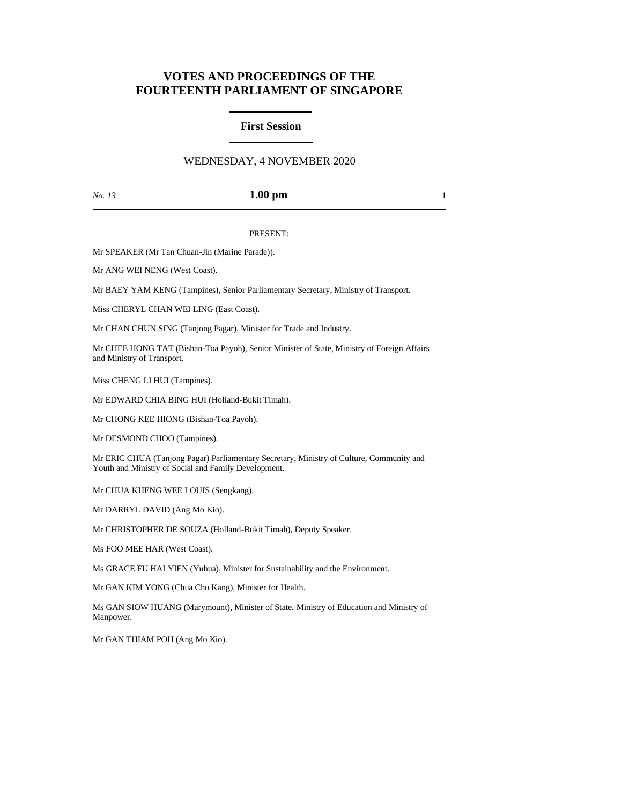# **VOTES AND PROCEEDINGS OF THE FOURTEENTH PARLIAMENT OF SINGAPORE**

### **First Session**

## WEDNESDAY, 4 NOVEMBER 2020

### *No. 13* **1.00 pm** 1

#### PRESENT:

Mr SPEAKER (Mr Tan Chuan-Jin (Marine Parade)).

Mr ANG WEI NENG (West Coast).

Mr BAEY YAM KENG (Tampines), Senior Parliamentary Secretary, Ministry of Transport.

Miss CHERYL CHAN WEI LING (East Coast).

Mr CHAN CHUN SING (Tanjong Pagar), Minister for Trade and Industry.

Mr CHEE HONG TAT (Bishan-Toa Payoh), Senior Minister of State, Ministry of Foreign Affairs and Ministry of Transport.

Miss CHENG LI HUI (Tampines).

Mr EDWARD CHIA BING HUI (Holland-Bukit Timah).

Mr CHONG KEE HIONG (Bishan-Toa Payoh).

Mr DESMOND CHOO (Tampines).

Mr ERIC CHUA (Tanjong Pagar) Parliamentary Secretary, Ministry of Culture, Community and Youth and Ministry of Social and Family Development.

Mr CHUA KHENG WEE LOUIS (Sengkang).

Mr DARRYL DAVID (Ang Mo Kio).

Mr CHRISTOPHER DE SOUZA (Holland-Bukit Timah), Deputy Speaker.

Ms FOO MEE HAR (West Coast).

Ms GRACE FU HAI YIEN (Yuhua), Minister for Sustainability and the Environment.

Mr GAN KIM YONG (Chua Chu Kang), Minister for Health.

Ms GAN SIOW HUANG (Marymount), Minister of State, Ministry of Education and Ministry of Manpower.

Mr GAN THIAM POH (Ang Mo Kio).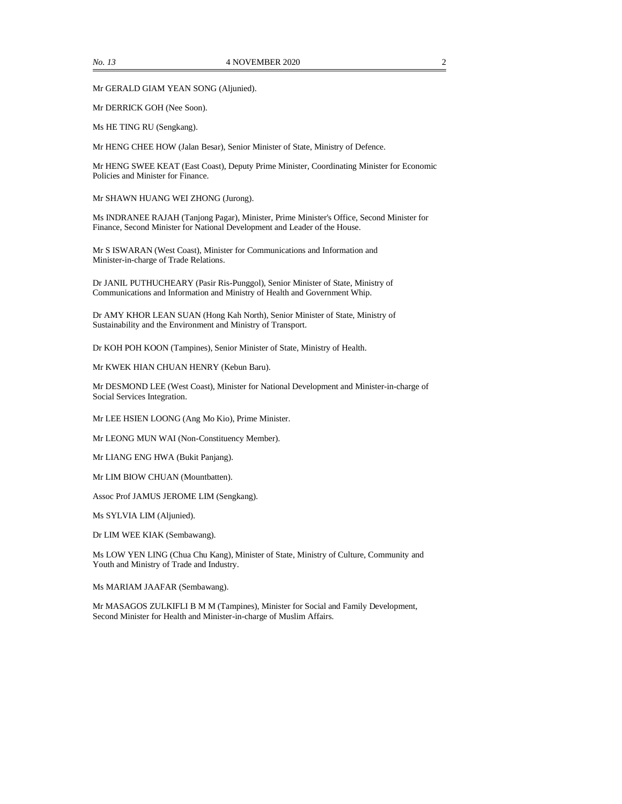Mr GERALD GIAM YEAN SONG (Aljunied).

Mr DERRICK GOH (Nee Soon).

Ms HE TING RU (Sengkang).

Mr HENG CHEE HOW (Jalan Besar), Senior Minister of State, Ministry of Defence.

Mr HENG SWEE KEAT (East Coast), Deputy Prime Minister, Coordinating Minister for Economic Policies and Minister for Finance.

Mr SHAWN HUANG WEI ZHONG (Jurong).

Ms INDRANEE RAJAH (Tanjong Pagar), Minister, Prime Minister's Office, Second Minister for Finance, Second Minister for National Development and Leader of the House.

Mr S ISWARAN (West Coast), Minister for Communications and Information and Minister-in-charge of Trade Relations.

Dr JANIL PUTHUCHEARY (Pasir Ris-Punggol), Senior Minister of State, Ministry of Communications and Information and Ministry of Health and Government Whip.

Dr AMY KHOR LEAN SUAN (Hong Kah North), Senior Minister of State, Ministry of Sustainability and the Environment and Ministry of Transport.

Dr KOH POH KOON (Tampines), Senior Minister of State, Ministry of Health.

Mr KWEK HIAN CHUAN HENRY (Kebun Baru).

Mr DESMOND LEE (West Coast), Minister for National Development and Minister-in-charge of Social Services Integration.

Mr LEE HSIEN LOONG (Ang Mo Kio), Prime Minister.

Mr LEONG MUN WAI (Non-Constituency Member).

Mr LIANG ENG HWA (Bukit Panjang).

Mr LIM BIOW CHUAN (Mountbatten).

Assoc Prof JAMUS JEROME LIM (Sengkang).

Ms SYLVIA LIM (Aljunied).

Dr LIM WEE KIAK (Sembawang).

Ms LOW YEN LING (Chua Chu Kang), Minister of State, Ministry of Culture, Community and Youth and Ministry of Trade and Industry.

Ms MARIAM JAAFAR (Sembawang).

Mr MASAGOS ZULKIFLI B M M (Tampines), Minister for Social and Family Development, Second Minister for Health and Minister-in-charge of Muslim Affairs.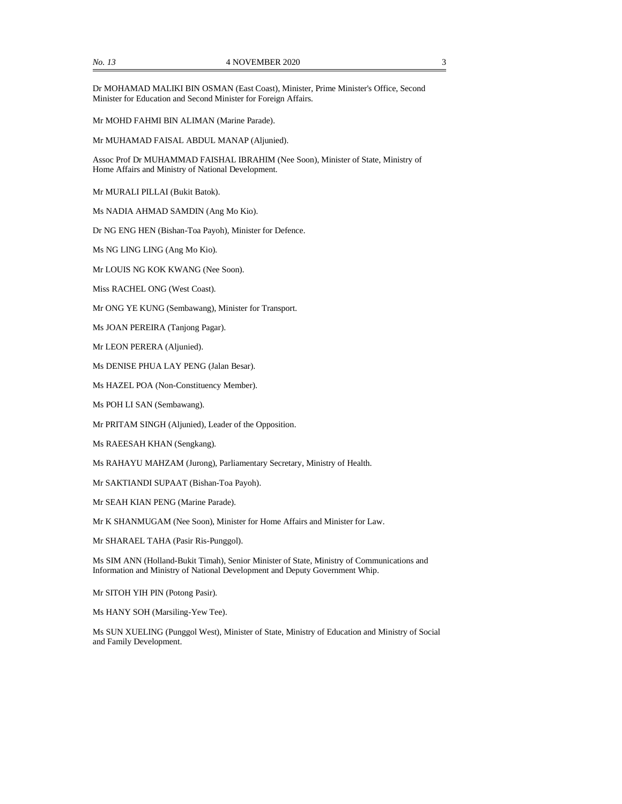Mr MOHD FAHMI BIN ALIMAN (Marine Parade).

Mr MUHAMAD FAISAL ABDUL MANAP (Aljunied).

Assoc Prof Dr MUHAMMAD FAISHAL IBRAHIM (Nee Soon), Minister of State, Ministry of Home Affairs and Ministry of National Development.

Mr MURALI PILLAI (Bukit Batok).

Ms NADIA AHMAD SAMDIN (Ang Mo Kio).

Dr NG ENG HEN (Bishan-Toa Payoh), Minister for Defence.

Ms NG LING LING (Ang Mo Kio).

Mr LOUIS NG KOK KWANG (Nee Soon).

Miss RACHEL ONG (West Coast).

Mr ONG YE KUNG (Sembawang), Minister for Transport.

Ms JOAN PEREIRA (Tanjong Pagar).

Mr LEON PERERA (Aljunied).

Ms DENISE PHUA LAY PENG (Jalan Besar).

Ms HAZEL POA (Non-Constituency Member).

Ms POH LI SAN (Sembawang).

Mr PRITAM SINGH (Aljunied), Leader of the Opposition.

Ms RAEESAH KHAN (Sengkang).

Ms RAHAYU MAHZAM (Jurong), Parliamentary Secretary, Ministry of Health.

Mr SAKTIANDI SUPAAT (Bishan-Toa Payoh).

Mr SEAH KIAN PENG (Marine Parade).

Mr K SHANMUGAM (Nee Soon), Minister for Home Affairs and Minister for Law.

Mr SHARAEL TAHA (Pasir Ris-Punggol).

Ms SIM ANN (Holland-Bukit Timah), Senior Minister of State, Ministry of Communications and Information and Ministry of National Development and Deputy Government Whip.

Mr SITOH YIH PIN (Potong Pasir).

Ms HANY SOH (Marsiling-Yew Tee).

Ms SUN XUELING (Punggol West), Minister of State, Ministry of Education and Ministry of Social and Family Development.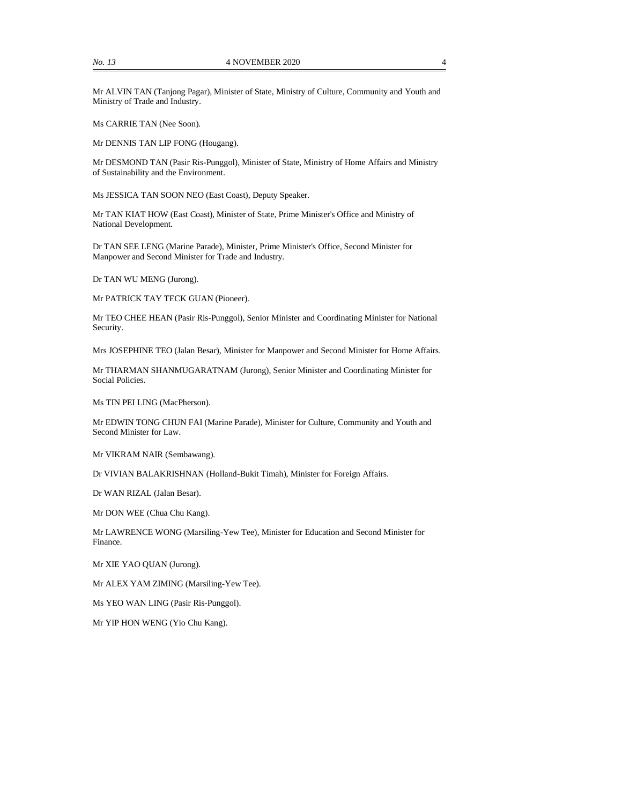Mr ALVIN TAN (Tanjong Pagar), Minister of State, Ministry of Culture, Community and Youth and Ministry of Trade and Industry.

Ms CARRIE TAN (Nee Soon).

Mr DENNIS TAN LIP FONG (Hougang).

Mr DESMOND TAN (Pasir Ris-Punggol), Minister of State, Ministry of Home Affairs and Ministry of Sustainability and the Environment.

Ms JESSICA TAN SOON NEO (East Coast), Deputy Speaker.

Mr TAN KIAT HOW (East Coast), Minister of State, Prime Minister's Office and Ministry of National Development.

Dr TAN SEE LENG (Marine Parade), Minister, Prime Minister's Office, Second Minister for Manpower and Second Minister for Trade and Industry.

Dr TAN WU MENG (Jurong).

Mr PATRICK TAY TECK GUAN (Pioneer).

Mr TEO CHEE HEAN (Pasir Ris-Punggol), Senior Minister and Coordinating Minister for National Security.

Mrs JOSEPHINE TEO (Jalan Besar), Minister for Manpower and Second Minister for Home Affairs.

Mr THARMAN SHANMUGARATNAM (Jurong), Senior Minister and Coordinating Minister for Social Policies.

Ms TIN PEI LING (MacPherson).

Mr EDWIN TONG CHUN FAI (Marine Parade), Minister for Culture, Community and Youth and Second Minister for Law.

Mr VIKRAM NAIR (Sembawang).

Dr VIVIAN BALAKRISHNAN (Holland-Bukit Timah), Minister for Foreign Affairs.

Dr WAN RIZAL (Jalan Besar).

Mr DON WEE (Chua Chu Kang).

Mr LAWRENCE WONG (Marsiling-Yew Tee), Minister for Education and Second Minister for Finance.

Mr XIE YAO QUAN (Jurong).

Mr ALEX YAM ZIMING (Marsiling-Yew Tee).

Ms YEO WAN LING (Pasir Ris-Punggol).

Mr YIP HON WENG (Yio Chu Kang).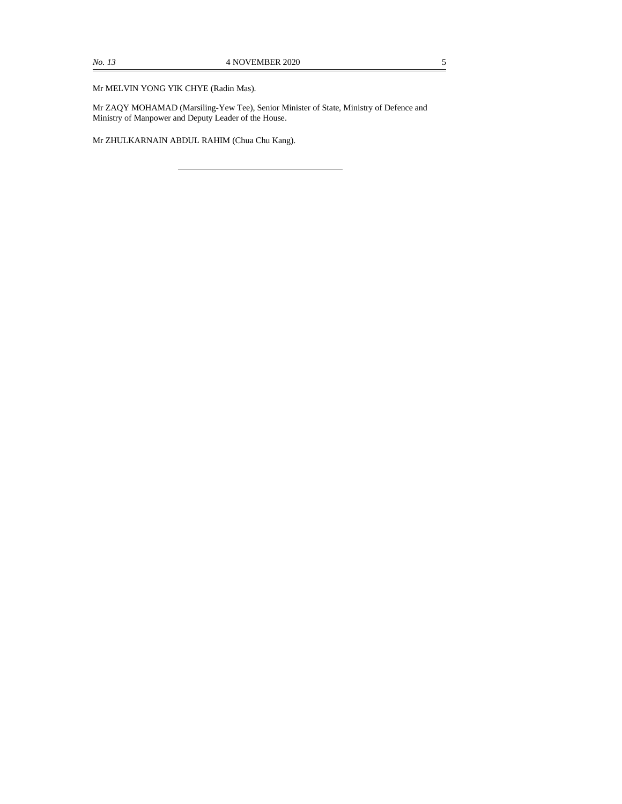Mr MELVIN YONG YIK CHYE (Radin Mas).

Mr ZAQY MOHAMAD (Marsiling-Yew Tee), Senior Minister of State, Ministry of Defence and Ministry of Manpower and Deputy Leader of the House.

Mr ZHULKARNAIN ABDUL RAHIM (Chua Chu Kang).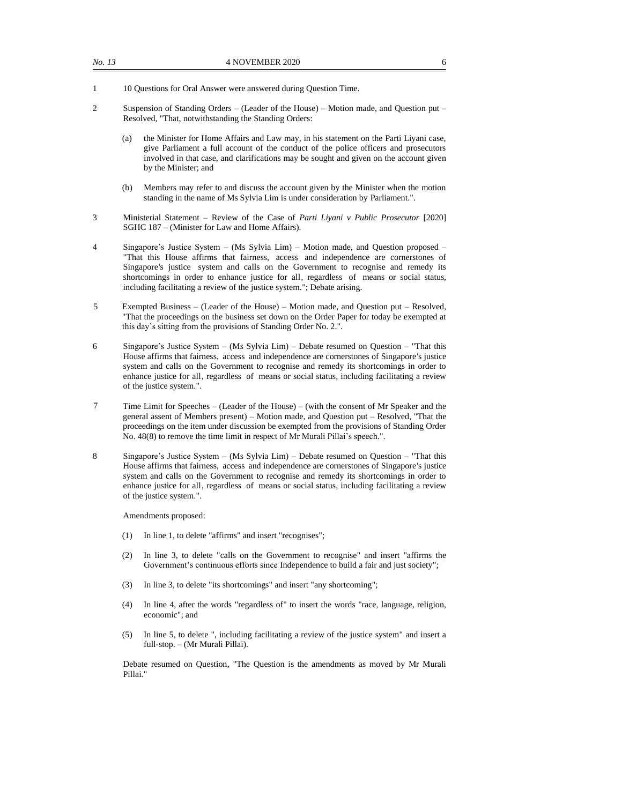- 1 10 Questions for Oral Answer were answered during Question Time.
- 2 Suspension of Standing Orders (Leader of the House) Motion made, and Question put Resolved, "That, notwithstanding the Standing Orders:
	- (a) the Minister for Home Affairs and Law may, in his statement on the Parti Liyani case, give Parliament a full account of the conduct of the police officers and prosecutors involved in that case, and clarifications may be sought and given on the account given by the Minister; and
	- (b) Members may refer to and discuss the account given by the Minister when the motion standing in the name of Ms Sylvia Lim is under consideration by Parliament.".
- 3 Ministerial Statement Review of the Case of *Parti Liyani v Public Prosecutor* [2020] SGHC 187 – (Minister for Law and Home Affairs).
- 4 Singapore's Justice System (Ms Sylvia Lim) Motion made, and Question proposed "That this House affirms that fairness, access and independence are cornerstones of Singapore's justice system and calls on the Government to recognise and remedy its shortcomings in order to enhance justice for all, regardless of means or social status, including facilitating a review of the justice system."; Debate arising.
- 5 Exempted Business (Leader of the House) Motion made, and Question put Resolved, "That the proceedings on the business set down on the Order Paper for today be exempted at this day's sitting from the provisions of Standing Order No. 2.".
- 6 Singapore's Justice System (Ms Sylvia Lim) Debate resumed on Question "That this House affirms that fairness, access and independence are cornerstones of Singapore's justice system and calls on the Government to recognise and remedy its shortcomings in order to enhance justice for all, regardless of means or social status, including facilitating a review of the justice system.".
- 7 Time Limit for Speeches (Leader of the House) (with the consent of Mr Speaker and the general assent of Members present) – Motion made, and Question put – Resolved, "That the proceedings on the item under discussion be exempted from the provisions of Standing Order No. 48(8) to remove the time limit in respect of Mr Murali Pillai's speech.".
- 8 Singapore's Justice System (Ms Sylvia Lim) Debate resumed on Question "That this House affirms that fairness, access and independence are cornerstones of Singapore's justice system and calls on the Government to recognise and remedy its shortcomings in order to enhance justice for all, regardless of means or social status, including facilitating a review of the justice system.".

Amendments proposed:

- (1) In line 1, to delete "affirms" and insert "recognises";
- (2) In line 3, to delete "calls on the Government to recognise" and insert "affirms the Government's continuous efforts since Independence to build a fair and just society";
- (3) In line 3, to delete "its shortcomings" and insert "any shortcoming";
- (4) In line 4, after the words "regardless of" to insert the words "race, language, religion, economic"; and
- (5) In line 5, to delete ", including facilitating a review of the justice system" and insert a full-stop. – (Mr Murali Pillai).

Debate resumed on Question, "The Question is the amendments as moved by Mr Murali Pillai."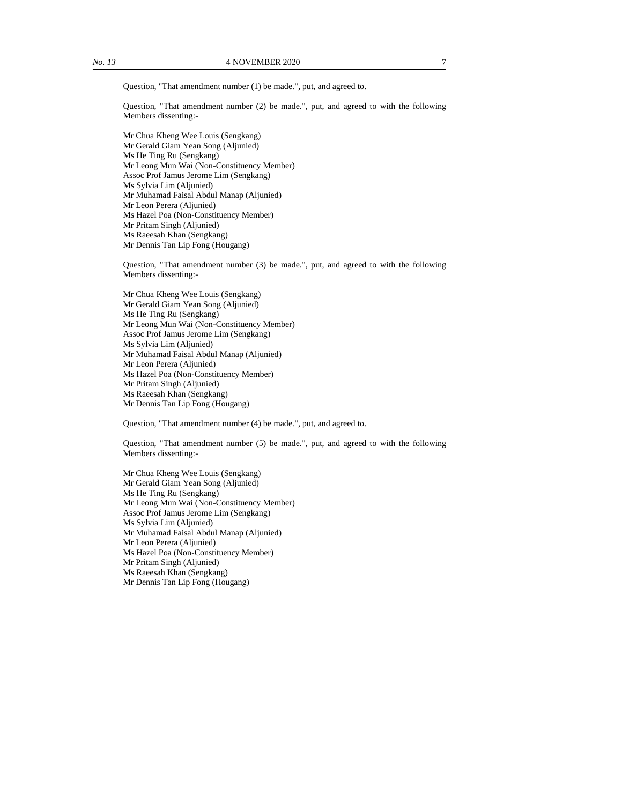Question, "That amendment number (1) be made.", put, and agreed to.

Question, "That amendment number (2) be made.", put, and agreed to with the following Members dissenting:-

Mr Chua Kheng Wee Louis (Sengkang) Mr Gerald Giam Yean Song (Aljunied) Ms He Ting Ru (Sengkang) Mr Leong Mun Wai (Non-Constituency Member) Assoc Prof Jamus Jerome Lim (Sengkang) Ms Sylvia Lim (Aljunied) Mr Muhamad Faisal Abdul Manap (Aljunied) Mr Leon Perera (Aljunied) Ms Hazel Poa (Non-Constituency Member) Mr Pritam Singh (Aljunied) Ms Raeesah Khan (Sengkang) Mr Dennis Tan Lip Fong (Hougang)

Question, "That amendment number (3) be made.", put, and agreed to with the following Members dissenting:-

Mr Chua Kheng Wee Louis (Sengkang) Mr Gerald Giam Yean Song (Aljunied) Ms He Ting Ru (Sengkang) Mr Leong Mun Wai (Non-Constituency Member) Assoc Prof Jamus Jerome Lim (Sengkang) Ms Sylvia Lim (Aljunied) Mr Muhamad Faisal Abdul Manap (Aljunied) Mr Leon Perera (Aljunied) Ms Hazel Poa (Non-Constituency Member) Mr Pritam Singh (Aljunied) Ms Raeesah Khan (Sengkang) Mr Dennis Tan Lip Fong (Hougang)

Question, "That amendment number (4) be made.", put, and agreed to.

Question, "That amendment number (5) be made.", put, and agreed to with the following Members dissenting:-

Mr Chua Kheng Wee Louis (Sengkang) Mr Gerald Giam Yean Song (Aljunied) Ms He Ting Ru (Sengkang) Mr Leong Mun Wai (Non-Constituency Member) Assoc Prof Jamus Jerome Lim (Sengkang) Ms Sylvia Lim (Aljunied) Mr Muhamad Faisal Abdul Manap (Aljunied) Mr Leon Perera (Aljunied) Ms Hazel Poa (Non-Constituency Member) Mr Pritam Singh (Aljunied) Ms Raeesah Khan (Sengkang) Mr Dennis Tan Lip Fong (Hougang)